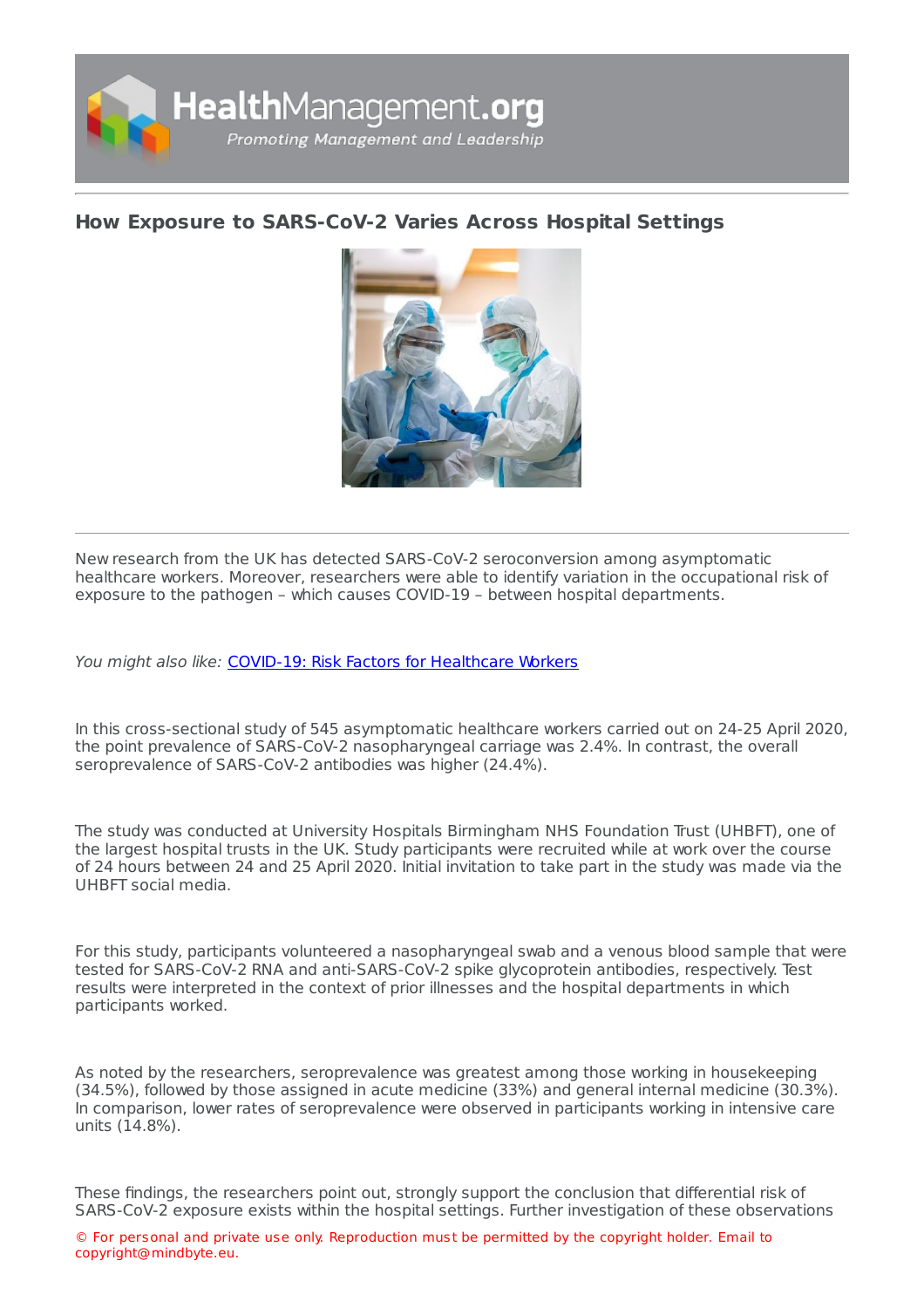

## **How Exposure to [SARS-CoV-2](https://healthmanagement.org/s/how-exposure-to-sars-cov-2-varies-across-hospital-settings) Varies Across Hospital Settings**



New research from the UK has detected SARS-CoV-2 seroconversion among asymptomatic healthcare workers. Moreover, researchers were able to identify variation in the occupational risk of exposure to the pathogen – which causes COVID-19 – between hospital departments.

You might also like: COVID-19: Risk Factors for [Healthcare](https://healthmanagement.org/c/hospital/news/covid-19-risk-factors-for-healthcare-workers) Workers

In this cross-sectional study of 545 asymptomatic healthcare workers carried out on 24-25 April 2020, the point prevalence of SARS-CoV-2 nasopharyngeal carriage was 2.4%. In contrast, the overall seroprevalence of SARS-CoV-2 antibodies was higher (24.4%).

The study was conducted at University Hospitals Birmingham NHS Foundation Trust (UHBFT), one of the largest hospital trusts in the UK. Study participants were recruited while at work over the course of 24 hours between 24 and 25 April 2020. Initial invitation to take part in the study was made via the UHBFT social media.

For this study, participants volunteered a nasopharyngeal swab and a venous blood sample that were tested for SARS-CoV-2 RNA and anti-SARS-CoV-2 spike glycoprotein antibodies, respectively. Test results were interpreted in the context of prior illnesses and the hospital departments in which participants worked.

As noted by the researchers, seroprevalence was greatest among those working in housekeeping (34.5%), followed by those assigned in acute medicine (33%) and general internal medicine (30.3%). In comparison, lower rates of seroprevalence were observed in participants working in intensive care units (14.8%).

These findings, the researchers point out, strongly support the conclusion that differential risk of SARS-CoV-2 exposure exists within the hospital settings. Further investigation of these observations

© For personal and private use only. Reproduction must be permitted by the copyright holder. Email to copyright@mindbyte.eu.